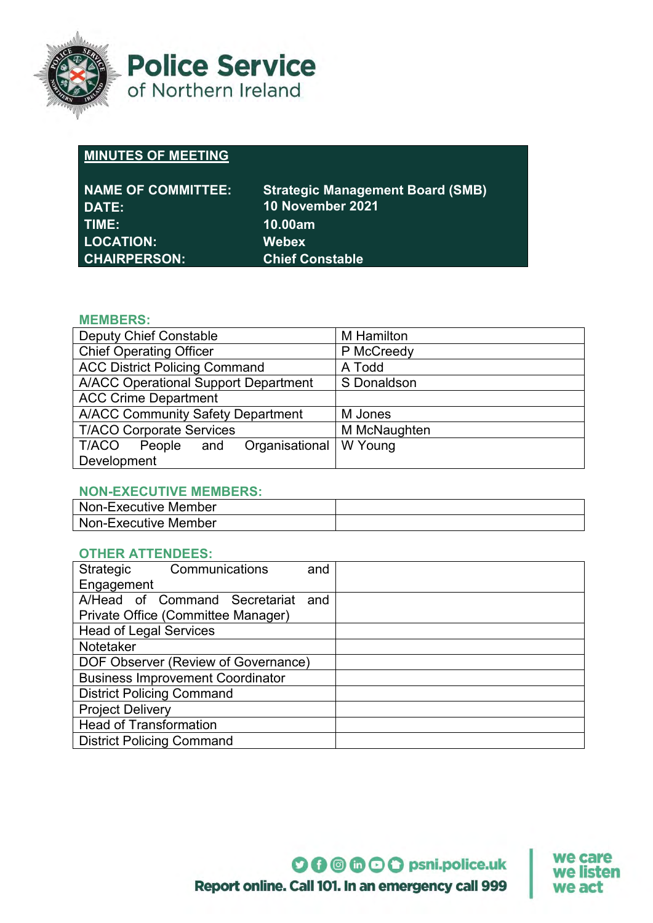

**Police Service** of Northern Ireland

# **MINUTES OF MEETING**

| <b>NAME OF COMMITTEE:</b> | <b>Strategic Management Board (SMB)</b> |
|---------------------------|-----------------------------------------|
| DATE:                     | 10 November 2021                        |
| TIME:                     | 10.00am                                 |
| <b>LOCATION:</b>          | <b>Webex</b>                            |
| <b>CHAIRPERSON:</b>       | <b>Chief Constable</b>                  |

#### **MEMBERS:**

| <b>Deputy Chief Constable</b>               | <b>M</b> Hamilton |
|---------------------------------------------|-------------------|
| <b>Chief Operating Officer</b>              | P McCreedy        |
| <b>ACC District Policing Command</b>        | A Todd            |
| <b>A/ACC Operational Support Department</b> | S Donaldson       |
| <b>ACC Crime Department</b>                 |                   |
| <b>A/ACC Community Safety Department</b>    | M Jones           |
| <b>T/ACO Corporate Services</b>             | M McNaughten      |
| Organisational<br>T/ACO<br>People<br>and    | W Young           |
| Development                                 |                   |

### **NON-EXECUTIVE MEMBERS:**

| Non-Executive Member |  |
|----------------------|--|
| Non-Executive Member |  |

### **OTHER ATTENDEES:**

| Strategic                               | Communications | and |  |
|-----------------------------------------|----------------|-----|--|
| Engagement                              |                |     |  |
| A/Head of Command Secretariat and       |                |     |  |
| Private Office (Committee Manager)      |                |     |  |
| <b>Head of Legal Services</b>           |                |     |  |
| Notetaker                               |                |     |  |
| DOF Observer (Review of Governance)     |                |     |  |
| <b>Business Improvement Coordinator</b> |                |     |  |
| <b>District Policing Command</b>        |                |     |  |
| <b>Project Delivery</b>                 |                |     |  |
| <b>Head of Transformation</b>           |                |     |  |
| <b>District Policing Command</b>        |                |     |  |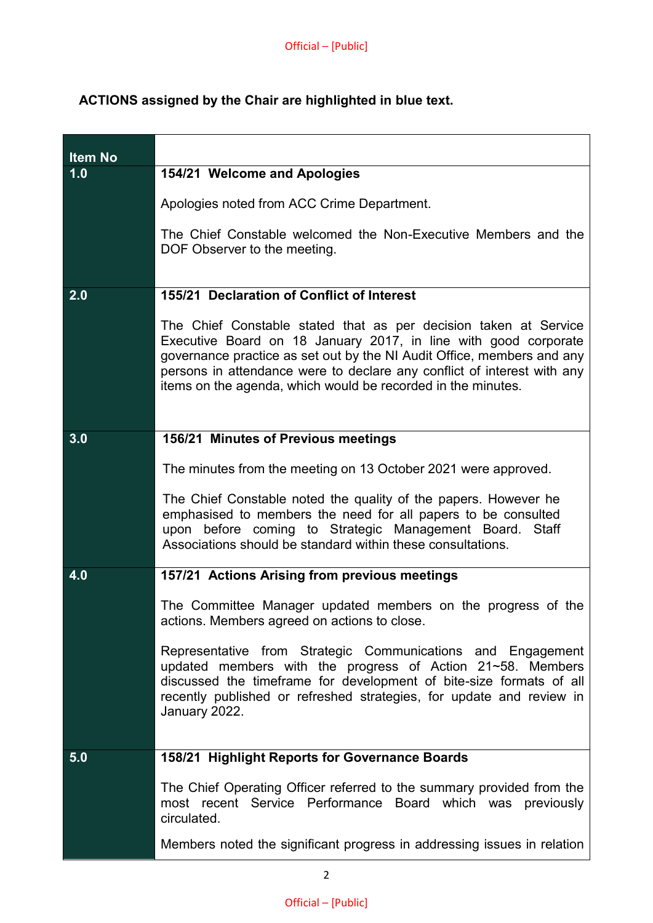## **ACTIONS assigned by the Chair are highlighted in blue text.**

| <b>Item No</b> |                                                                                                                                                                                                                                                                                                                                                          |
|----------------|----------------------------------------------------------------------------------------------------------------------------------------------------------------------------------------------------------------------------------------------------------------------------------------------------------------------------------------------------------|
| 1.0            | 154/21 Welcome and Apologies                                                                                                                                                                                                                                                                                                                             |
|                | Apologies noted from ACC Crime Department.                                                                                                                                                                                                                                                                                                               |
|                | The Chief Constable welcomed the Non-Executive Members and the<br>DOF Observer to the meeting.                                                                                                                                                                                                                                                           |
| 2.0            | 155/21 Declaration of Conflict of Interest                                                                                                                                                                                                                                                                                                               |
|                | The Chief Constable stated that as per decision taken at Service<br>Executive Board on 18 January 2017, in line with good corporate<br>governance practice as set out by the NI Audit Office, members and any<br>persons in attendance were to declare any conflict of interest with any<br>items on the agenda, which would be recorded in the minutes. |
| 3.0            | 156/21 Minutes of Previous meetings                                                                                                                                                                                                                                                                                                                      |
|                | The minutes from the meeting on 13 October 2021 were approved.<br>The Chief Constable noted the quality of the papers. However he<br>emphasised to members the need for all papers to be consulted<br>upon before coming to Strategic Management Board. Staff<br>Associations should be standard within these consultations.                             |
| 4.0            | 157/21 Actions Arising from previous meetings                                                                                                                                                                                                                                                                                                            |
|                | The Committee Manager updated members on the progress of the<br>actions. Members agreed on actions to close.                                                                                                                                                                                                                                             |
|                | Representative from Strategic Communications and Engagement<br>updated members with the progress of Action 21~58. Members<br>discussed the timeframe for development of bite-size formats of all<br>recently published or refreshed strategies, for update and review in<br>January 2022.                                                                |
| 5.0            | 158/21 Highlight Reports for Governance Boards                                                                                                                                                                                                                                                                                                           |
|                | The Chief Operating Officer referred to the summary provided from the<br>most recent Service Performance Board which was previously<br>circulated.                                                                                                                                                                                                       |
|                | Members noted the significant progress in addressing issues in relation                                                                                                                                                                                                                                                                                  |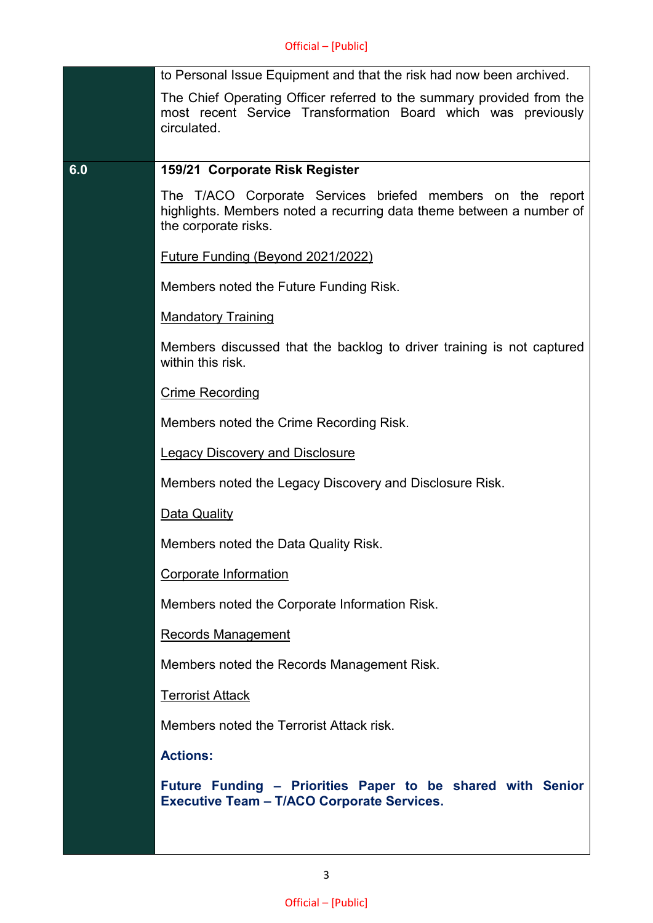|     | to Personal Issue Equipment and that the risk had now been archived.                                                                                       |
|-----|------------------------------------------------------------------------------------------------------------------------------------------------------------|
|     | The Chief Operating Officer referred to the summary provided from the<br>most recent Service Transformation Board which was previously<br>circulated.      |
| 6.0 | 159/21 Corporate Risk Register                                                                                                                             |
|     | The T/ACO Corporate Services briefed members on the report<br>highlights. Members noted a recurring data theme between a number of<br>the corporate risks. |
|     | Future Funding (Beyond 2021/2022)                                                                                                                          |
|     | Members noted the Future Funding Risk.                                                                                                                     |
|     | <b>Mandatory Training</b>                                                                                                                                  |
|     | Members discussed that the backlog to driver training is not captured<br>within this risk.                                                                 |
|     | <b>Crime Recording</b>                                                                                                                                     |
|     | Members noted the Crime Recording Risk.                                                                                                                    |
|     | <b>Legacy Discovery and Disclosure</b>                                                                                                                     |
|     | Members noted the Legacy Discovery and Disclosure Risk.                                                                                                    |
|     | Data Quality                                                                                                                                               |
|     | Members noted the Data Quality Risk.                                                                                                                       |
|     | Corporate Information                                                                                                                                      |
|     | Members noted the Corporate Information Risk.                                                                                                              |
|     | <b>Records Management</b>                                                                                                                                  |
|     | Members noted the Records Management Risk.                                                                                                                 |
|     | <b>Terrorist Attack</b>                                                                                                                                    |
|     | Members noted the Terrorist Attack risk.                                                                                                                   |
|     | <b>Actions:</b>                                                                                                                                            |
|     | Future Funding - Priorities Paper to be shared with Senior<br><b>Executive Team - T/ACO Corporate Services.</b>                                            |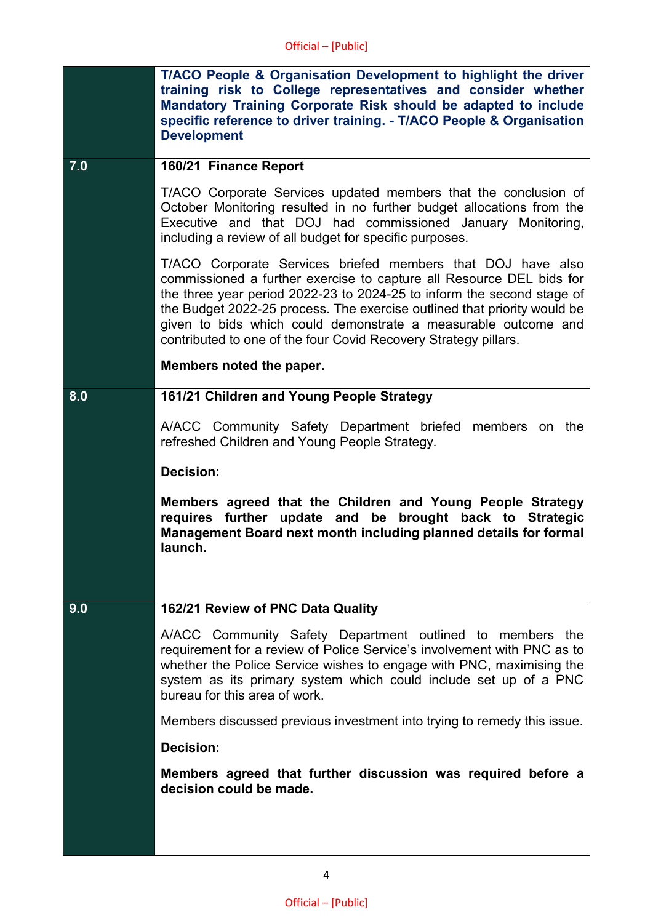|     | T/ACO People & Organisation Development to highlight the driver<br>training risk to College representatives and consider whether<br>Mandatory Training Corporate Risk should be adapted to include<br>specific reference to driver training. - T/ACO People & Organisation<br><b>Development</b>                                                                                                                               |
|-----|--------------------------------------------------------------------------------------------------------------------------------------------------------------------------------------------------------------------------------------------------------------------------------------------------------------------------------------------------------------------------------------------------------------------------------|
| 7.0 | 160/21 Finance Report                                                                                                                                                                                                                                                                                                                                                                                                          |
|     | T/ACO Corporate Services updated members that the conclusion of<br>October Monitoring resulted in no further budget allocations from the<br>Executive and that DOJ had commissioned January Monitoring,<br>including a review of all budget for specific purposes.                                                                                                                                                             |
|     | T/ACO Corporate Services briefed members that DOJ have also<br>commissioned a further exercise to capture all Resource DEL bids for<br>the three year period 2022-23 to 2024-25 to inform the second stage of<br>the Budget 2022-25 process. The exercise outlined that priority would be<br>given to bids which could demonstrate a measurable outcome and<br>contributed to one of the four Covid Recovery Strategy pillars. |
|     | Members noted the paper.                                                                                                                                                                                                                                                                                                                                                                                                       |
| 8.0 | 161/21 Children and Young People Strategy                                                                                                                                                                                                                                                                                                                                                                                      |
|     | A/ACC Community Safety Department briefed members on the<br>refreshed Children and Young People Strategy.                                                                                                                                                                                                                                                                                                                      |
|     | <b>Decision:</b>                                                                                                                                                                                                                                                                                                                                                                                                               |
|     | Members agreed that the Children and Young People Strategy<br>be<br>requires further update and<br>brought back to Strategic<br>Management Board next month including planned details for formal<br>launch.                                                                                                                                                                                                                    |
| 9.0 | 162/21 Review of PNC Data Quality                                                                                                                                                                                                                                                                                                                                                                                              |
|     | A/ACC Community Safety Department outlined to members the<br>requirement for a review of Police Service's involvement with PNC as to<br>whether the Police Service wishes to engage with PNC, maximising the<br>system as its primary system which could include set up of a PNC<br>bureau for this area of work.                                                                                                              |
|     | Members discussed previous investment into trying to remedy this issue.                                                                                                                                                                                                                                                                                                                                                        |
|     | <b>Decision:</b>                                                                                                                                                                                                                                                                                                                                                                                                               |
|     | Members agreed that further discussion was required before a<br>decision could be made.                                                                                                                                                                                                                                                                                                                                        |
|     |                                                                                                                                                                                                                                                                                                                                                                                                                                |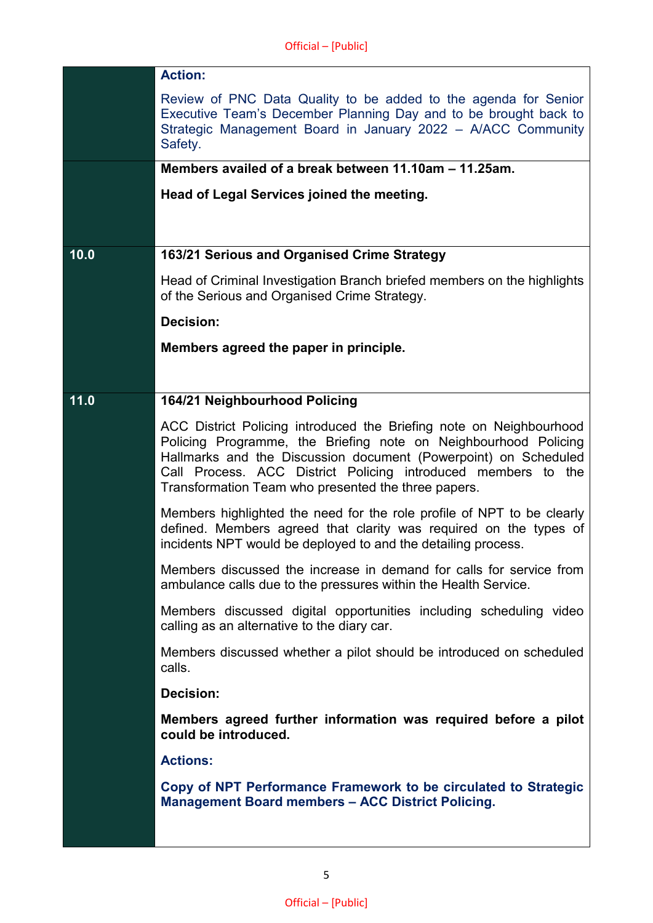|      | <b>Action:</b>                                                                                                                                                                                                                                                                                                                    |
|------|-----------------------------------------------------------------------------------------------------------------------------------------------------------------------------------------------------------------------------------------------------------------------------------------------------------------------------------|
|      | Review of PNC Data Quality to be added to the agenda for Senior<br>Executive Team's December Planning Day and to be brought back to<br>Strategic Management Board in January 2022 - A/ACC Community<br>Safety.                                                                                                                    |
|      | Members availed of a break between 11.10am – 11.25am.                                                                                                                                                                                                                                                                             |
|      | Head of Legal Services joined the meeting.                                                                                                                                                                                                                                                                                        |
|      |                                                                                                                                                                                                                                                                                                                                   |
| 10.0 | 163/21 Serious and Organised Crime Strategy                                                                                                                                                                                                                                                                                       |
|      | Head of Criminal Investigation Branch briefed members on the highlights<br>of the Serious and Organised Crime Strategy.                                                                                                                                                                                                           |
|      | <b>Decision:</b>                                                                                                                                                                                                                                                                                                                  |
|      | Members agreed the paper in principle.                                                                                                                                                                                                                                                                                            |
|      |                                                                                                                                                                                                                                                                                                                                   |
| 11.0 | 164/21 Neighbourhood Policing                                                                                                                                                                                                                                                                                                     |
|      | ACC District Policing introduced the Briefing note on Neighbourhood<br>Policing Programme, the Briefing note on Neighbourhood Policing<br>Hallmarks and the Discussion document (Powerpoint) on Scheduled<br>Call Process. ACC District Policing introduced members to the<br>Transformation Team who presented the three papers. |
|      | Members highlighted the need for the role profile of NPT to be clearly<br>defined. Members agreed that clarity was required on the types of<br>incidents NPT would be deployed to and the detailing process.                                                                                                                      |
|      | Members discussed the increase in demand for calls for service from<br>ambulance calls due to the pressures within the Health Service.                                                                                                                                                                                            |
|      | Members discussed digital opportunities including scheduling video<br>calling as an alternative to the diary car.                                                                                                                                                                                                                 |
|      | Members discussed whether a pilot should be introduced on scheduled<br>calls.                                                                                                                                                                                                                                                     |
|      | Decision:                                                                                                                                                                                                                                                                                                                         |
|      | Members agreed further information was required before a pilot<br>could be introduced.                                                                                                                                                                                                                                            |
|      | <b>Actions:</b>                                                                                                                                                                                                                                                                                                                   |
|      | Copy of NPT Performance Framework to be circulated to Strategic<br><b>Management Board members - ACC District Policing.</b>                                                                                                                                                                                                       |
|      |                                                                                                                                                                                                                                                                                                                                   |